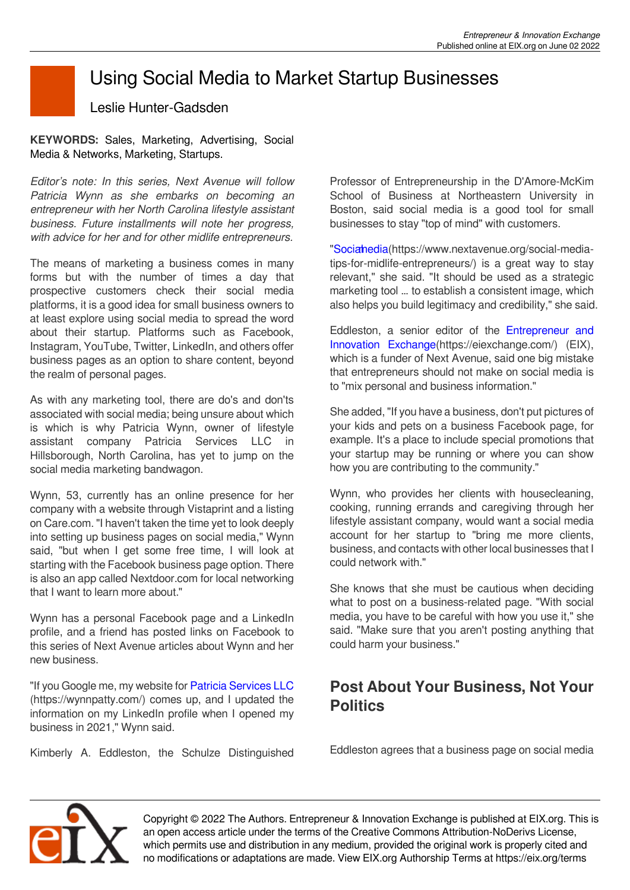# Using Social Media to Market Startup Businesses

#### Leslie Hunter-Gadsden

**KEYWORDS:** Sales, Marketing, Advertising, Social Media & Networks, Marketing, Startups.

*Editor's note: In this series, Next Avenue will follow Patricia Wynn as she embarks on becoming an entrepreneur with her North Carolina lifestyle assistant business. Future installments will note her progress, with advice for her and for other midlife entrepreneurs.*

The means of marketing a business comes in many forms but with the number of times a day that prospective customers check their social media platforms, it is a good idea for small business owners to at least explore using social media to spread the word about their startup. Platforms such as Facebook, Instagram, YouTube, Twitter, LinkedIn, and others offer business pages as an option to share content, beyond the realm of personal pages.

As with any marketing tool, there are do's and don'ts associated with social media; being unsure about which is which is why Patricia Wynn, owner of lifestyle assistant company Patricia Services LLC in Hillsborough, North Carolina, has yet to jump on the social media marketing bandwagon.

Wynn, 53, currently has an online presence for her company with a website through Vistaprint and a listing on Care.com. "I haven't taken the time yet to look deeply into setting up business pages on social media," Wynn said, "but when I get some free time, I will look at starting with the Facebook business page option. There is also an app called Nextdoor.com for local networking that I want to learn more about."

Wynn has a personal Facebook page and a LinkedIn profile, and a friend has posted links on Facebook to this series of Next Avenue articles about Wynn and her new business.

"If you Google me, my website for [Patricia Services LLC](https://wynnpatty.com/) (https://wynnpatty.com/) comes up, and I updated the information on my LinkedIn profile when I opened my business in 2021," Wynn said.

Kimberly A. Eddleston, the Schulze Distinguished

Professor of Entrepreneurship in the D'Amore-McKim School of Business at Northeastern University in Boston, said social media is a good tool for small businesses to stay "top of mind" with customers.

"Sociahedia(https://www.nextavenue.org/social-mediatips-for-midlife-entrepreneurs/) is a great way to stay relevant," she said. "It should be used as a strategic marketing tool … to establish a consistent image, which also helps you build legitimacy and credibility," she said.

Eddleston, a senior editor of the [Entrepreneur and](https://eiexchange.com/) [Innovation Exchange](https://eiexchange.com/)(https://eiexchange.com/) (EIX), which is a funder of Next Avenue, said one big mistake that entrepreneurs should not make on social media is to "mix personal and business information."

She added, "If you have a business, don't put pictures of your kids and pets on a business Facebook page, for example. It's a place to include special promotions that your startup may be running or where you can show how you are contributing to the community."

Wynn, who provides her clients with housecleaning, cooking, running errands and caregiving through her lifestyle assistant company, would want a social media account for her startup to "bring me more clients, business, and contacts with other local businesses that I could network with."

She knows that she must be cautious when deciding what to post on a business-related page. "With social media, you have to be careful with how you use it," she said. "Make sure that you aren't posting anything that could harm your business."

### **Post About Your Business, Not Your Politics**

Eddleston agrees that a business page on social media



Copyright © 2022 The Authors. Entrepreneur & Innovation Exchange is published at EIX.org. This is an open access article under the terms of the Creative Commons Attribution-NoDerivs License, which permits use and distribution in any medium, provided the original work is properly cited and no modifications or adaptations are made. View EIX.org Authorship Terms at https://eix.org/terms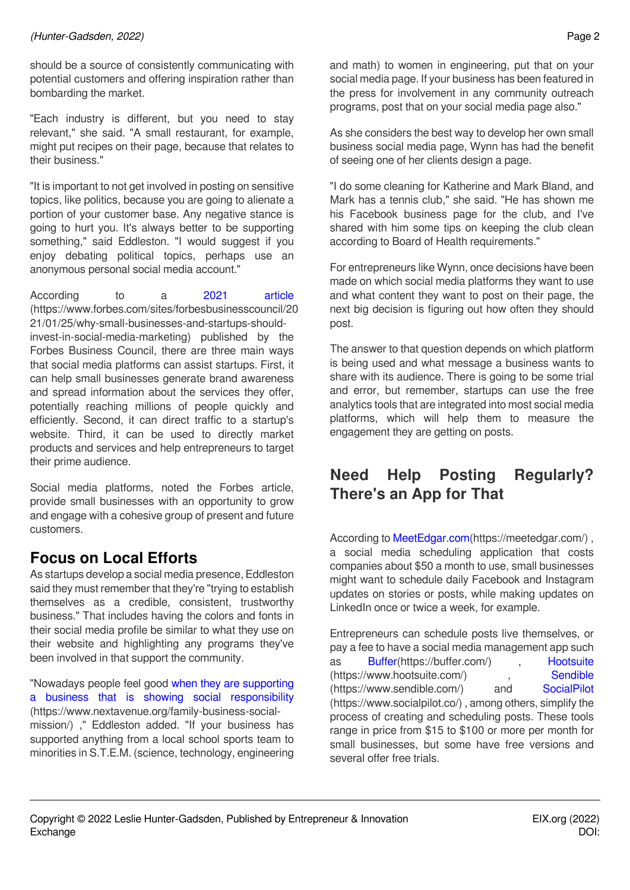should be a source of consistently communicating with potential customers and offering inspiration rather than bombarding the market.

"Each industry is different, but you need to stay relevant," she said. "A small restaurant, for example, might put recipes on their page, because that relates to their business."

"It is important to not get involved in posting on sensitive topics, like politics, because you are going to alienate a portion of your customer base. Any negative stance is going to hurt you. It's always better to be supporting something," said Eddleston. "I would suggest if you enjoy debating political topics, perhaps use an anonymous personal social media account."

According to a [2021 article](https://www.forbes.com/sites/forbesbusinesscouncil/2021/01/25/why-small-businesses-and-startups-should-invest-in-social-media-marketing) (https://www.forbes.com/sites/forbesbusinesscouncil/20 21/01/25/why-small-businesses-and-startups-shouldinvest-in-social-media-marketing) published by the Forbes Business Council, there are three main ways that social media platforms can assist startups. First, it can help small businesses generate brand awareness and spread information about the services they offer, potentially reaching millions of people quickly and efficiently. Second, it can direct traffic to a startup's website. Third, it can be used to directly market products and services and help entrepreneurs to target their prime audience.

Social media platforms, noted the Forbes article, provide small businesses with an opportunity to grow and engage with a cohesive group of present and future customers.

### **Focus on Local Efforts**

As startups develop a social media presence, Eddleston said they must remember that they're "trying to establish themselves as a credible, consistent, trustworthy business." That includes having the colors and fonts in their social media profile be similar to what they use on their website and highlighting any programs they've been involved in that support the community.

"Nowadays people feel good [when they are supporting](https://www.nextavenue.org/family-business-social-mission/) [a business that is showing social responsibility](https://www.nextavenue.org/family-business-social-mission/) (https://www.nextavenue.org/family-business-socialmission/) ," Eddleston added. "If your business has supported anything from a local school sports team to minorities in S.T.E.M. (science, technology, engineering and math) to women in engineering, put that on your social media page. If your business has been featured in the press for involvement in any community outreach programs, post that on your social media page also."

As she considers the best way to develop her own small business social media page, Wynn has had the benefit of seeing one of her clients design a page.

"I do some cleaning for Katherine and Mark Bland, and Mark has a tennis club," she said. "He has shown me his Facebook business page for the club, and I've shared with him some tips on keeping the club clean according to Board of Health requirements."

For entrepreneurs like Wynn, once decisions have been made on which social media platforms they want to use and what content they want to post on their page, the next big decision is figuring out how often they should post.

The answer to that question depends on which platform is being used and what message a business wants to share with its audience. There is going to be some trial and error, but remember, startups can use the free analytics tools that are integrated into most social media platforms, which will help them to measure the engagement they are getting on posts.

## **Need Help Posting Regularly? There's an App for That**

According to [MeetEdgar.com\(](https://meetedgar.com/)https://meetedgar.com/), a social media scheduling application that costs companies about \$50 a month to use, small businesses might want to schedule daily Facebook and Instagram updates on stories or posts, while making updates on LinkedIn once or twice a week, for example.

Entrepreneurs can schedule posts live themselves, or pay a fee to have a social media management app such as [Buffer](https://buffer.com/)(https://buffer.com/), [Hootsuite](https://www.hootsuite.com/) (https://www.hootsuite.com/) , [Sendible](https://www.sendible.com/) (https://www.sendible.com/) and [SocialPilot](https://www.socialpilot.co/) (https://www.socialpilot.co/) , among others, simplify the process of creating and scheduling posts. These tools range in price from \$15 to \$100 or more per month for small businesses, but some have free versions and several offer free trials.